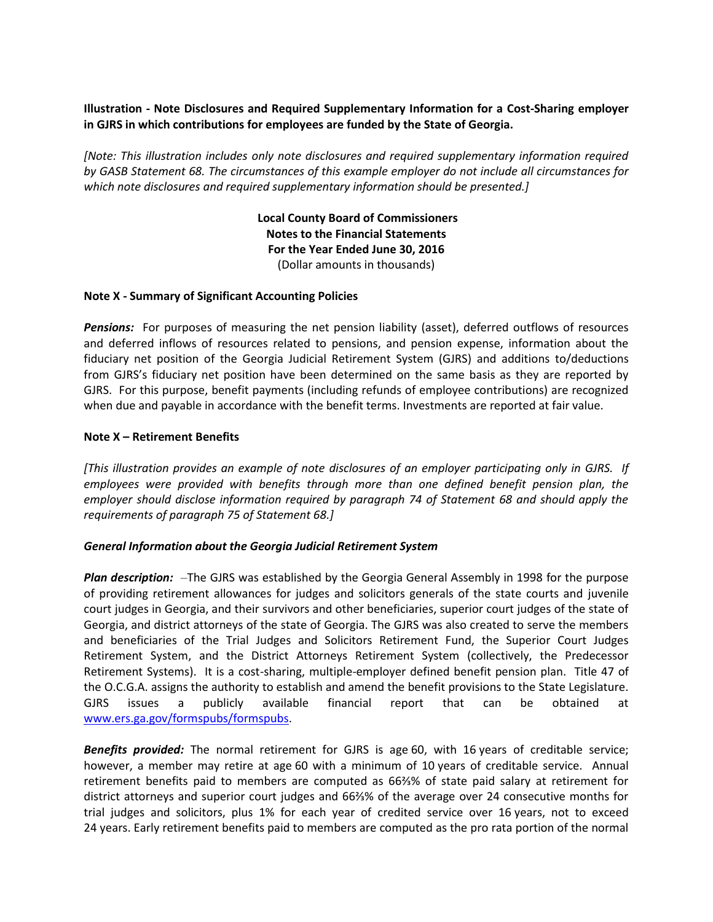# **Illustration - Note Disclosures and Required Supplementary Information for a Cost-Sharing employer in GJRS in which contributions for employees are funded by the State of Georgia.**

*[Note: This illustration includes only note disclosures and required supplementary information required by GASB Statement 68. The circumstances of this example employer do not include all circumstances for which note disclosures and required supplementary information should be presented.]*

> **Local County Board of Commissioners Notes to the Financial Statements For the Year Ended June 30, 2016** (Dollar amounts in thousands)

## **Note X - Summary of Significant Accounting Policies**

*Pensions:* For purposes of measuring the net pension liability (asset), deferred outflows of resources and deferred inflows of resources related to pensions, and pension expense, information about the fiduciary net position of the Georgia Judicial Retirement System (GJRS) and additions to/deductions from GJRS's fiduciary net position have been determined on the same basis as they are reported by GJRS. For this purpose, benefit payments (including refunds of employee contributions) are recognized when due and payable in accordance with the benefit terms. Investments are reported at fair value.

## **Note X – Retirement Benefits**

*[This illustration provides an example of note disclosures of an employer participating only in GJRS. If employees were provided with benefits through more than one defined benefit pension plan, the employer should disclose information required by paragraph 74 of Statement 68 and should apply the requirements of paragraph 75 of Statement 68.]*

## *General Information about the Georgia Judicial Retirement System*

*Plan description:* –The GJRS was established by the Georgia General Assembly in 1998 for the purpose of providing retirement allowances for judges and solicitors generals of the state courts and juvenile court judges in Georgia, and their survivors and other beneficiaries, superior court judges of the state of Georgia, and district attorneys of the state of Georgia. The GJRS was also created to serve the members and beneficiaries of the Trial Judges and Solicitors Retirement Fund, the Superior Court Judges Retirement System, and the District Attorneys Retirement System (collectively, the Predecessor Retirement Systems). It is a cost-sharing, multiple-employer defined benefit pension plan. Title 47 of the O.C.G.A. assigns the authority to establish and amend the benefit provisions to the State Legislature. GJRS issues a publicly available financial report that can be obtained at [www.ers.ga.gov/formspubs/formspubs.](http://www.ers.ga.gov/formspubs/formspubs)

*Benefits provided:* The normal retirement for GJRS is age 60, with 16 years of creditable service; however, a member may retire at age 60 with a minimum of 10 years of creditable service. Annual retirement benefits paid to members are computed as 66⅔% of state paid salary at retirement for district attorneys and superior court judges and 66⅔% of the average over 24 consecutive months for trial judges and solicitors, plus 1% for each year of credited service over 16 years, not to exceed 24 years. Early retirement benefits paid to members are computed as the pro rata portion of the normal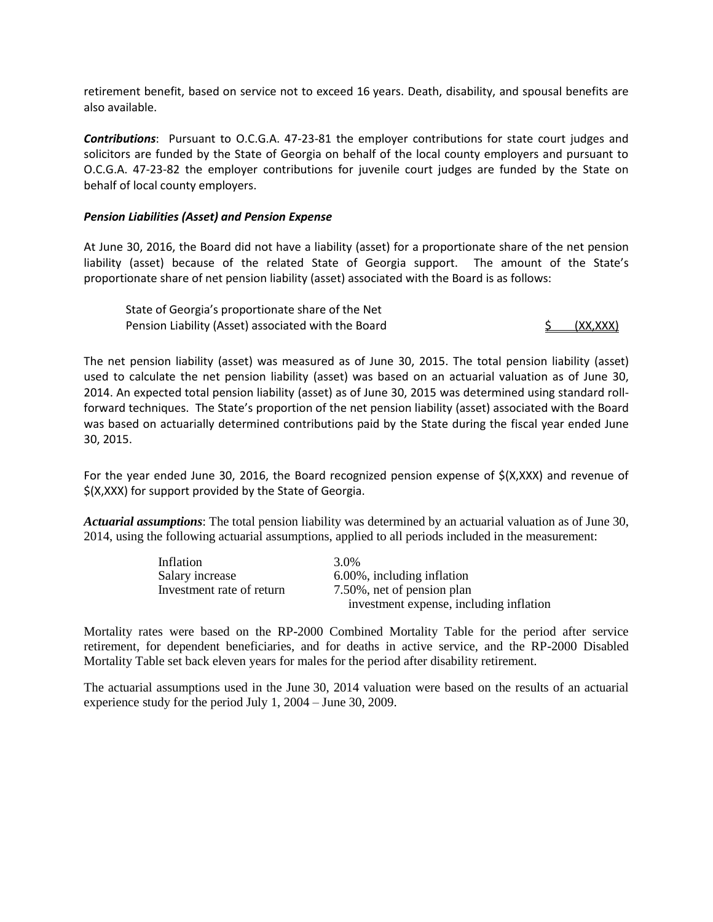retirement benefit, based on service not to exceed 16 years. Death, disability, and spousal benefits are also available.

*Contributions*: Pursuant to O.C.G.A. 47-23-81 the employer contributions for state court judges and solicitors are funded by the State of Georgia on behalf of the local county employers and pursuant to O.C.G.A. 47-23-82 the employer contributions for juvenile court judges are funded by the State on behalf of local county employers.

#### *Pension Liabilities (Asset) and Pension Expense*

At June 30, 2016, the Board did not have a liability (asset) for a proportionate share of the net pension liability (asset) because of the related State of Georgia support. The amount of the State's proportionate share of net pension liability (asset) associated with the Board is as follows:

State of Georgia's proportionate share of the Net Pension Liability (Asset) associated with the Board **\$ (XX,XXX)** 

The net pension liability (asset) was measured as of June 30, 2015. The total pension liability (asset) used to calculate the net pension liability (asset) was based on an actuarial valuation as of June 30, 2014. An expected total pension liability (asset) as of June 30, 2015 was determined using standard rollforward techniques. The State's proportion of the net pension liability (asset) associated with the Board was based on actuarially determined contributions paid by the State during the fiscal year ended June 30, 2015.

For the year ended June 30, 2016, the Board recognized pension expense of \$(X,XXX) and revenue of \$(X,XXX) for support provided by the State of Georgia.

*Actuarial assumptions*: The total pension liability was determined by an actuarial valuation as of June 30, 2014, using the following actuarial assumptions, applied to all periods included in the measurement:

| Inflation                 | 3.0%                                    |
|---------------------------|-----------------------------------------|
| Salary increase           | 6.00%, including inflation              |
| Investment rate of return | 7.50%, net of pension plan              |
|                           | investment expense, including inflation |

Mortality rates were based on the RP-2000 Combined Mortality Table for the period after service retirement, for dependent beneficiaries, and for deaths in active service, and the RP-2000 Disabled Mortality Table set back eleven years for males for the period after disability retirement.

The actuarial assumptions used in the June 30, 2014 valuation were based on the results of an actuarial experience study for the period July 1, 2004 – June 30, 2009.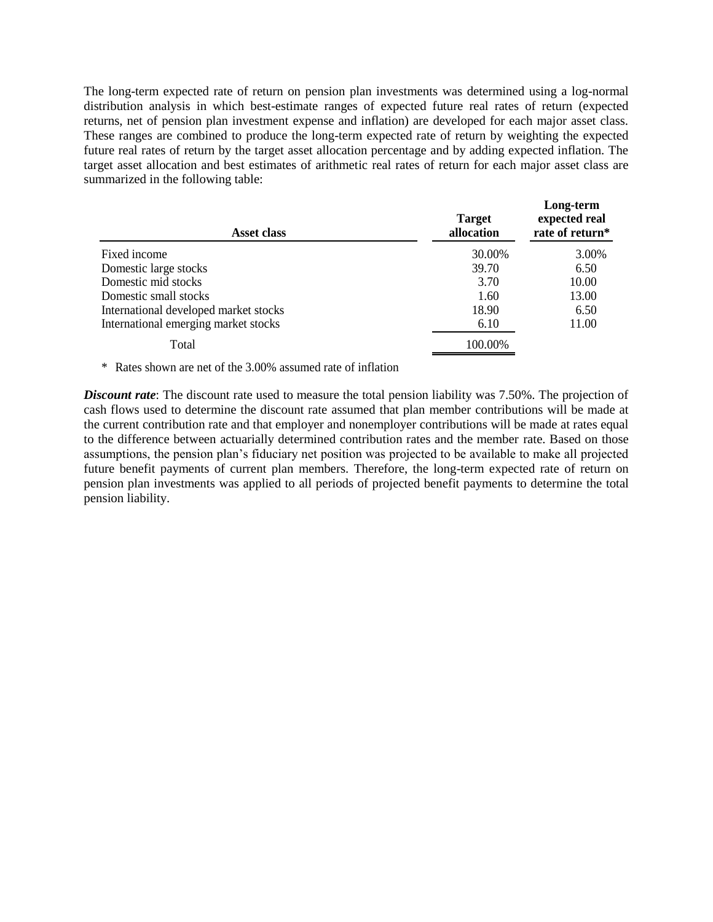The long-term expected rate of return on pension plan investments was determined using a log-normal distribution analysis in which best-estimate ranges of expected future real rates of return (expected returns, net of pension plan investment expense and inflation) are developed for each major asset class. These ranges are combined to produce the long-term expected rate of return by weighting the expected future real rates of return by the target asset allocation percentage and by adding expected inflation. The target asset allocation and best estimates of arithmetic real rates of return for each major asset class are summarized in the following table:

| <b>Asset class</b>                    | <b>Target</b><br>allocation | Long-term<br>expected real<br>rate of return* |
|---------------------------------------|-----------------------------|-----------------------------------------------|
| Fixed income                          | 30.00%                      | 3.00%                                         |
| Domestic large stocks                 | 39.70                       | 6.50                                          |
| Domestic mid stocks                   | 3.70                        | 10.00                                         |
| Domestic small stocks                 | 1.60                        | 13.00                                         |
| International developed market stocks | 18.90                       | 6.50                                          |
| International emerging market stocks  | 6.10                        | 11.00                                         |
| Total                                 | 100.00%                     |                                               |

\* Rates shown are net of the 3.00% assumed rate of inflation

*Discount rate*: The discount rate used to measure the total pension liability was 7.50%. The projection of cash flows used to determine the discount rate assumed that plan member contributions will be made at the current contribution rate and that employer and nonemployer contributions will be made at rates equal to the difference between actuarially determined contribution rates and the member rate. Based on those assumptions, the pension plan's fiduciary net position was projected to be available to make all projected future benefit payments of current plan members. Therefore, the long-term expected rate of return on pension plan investments was applied to all periods of projected benefit payments to determine the total pension liability.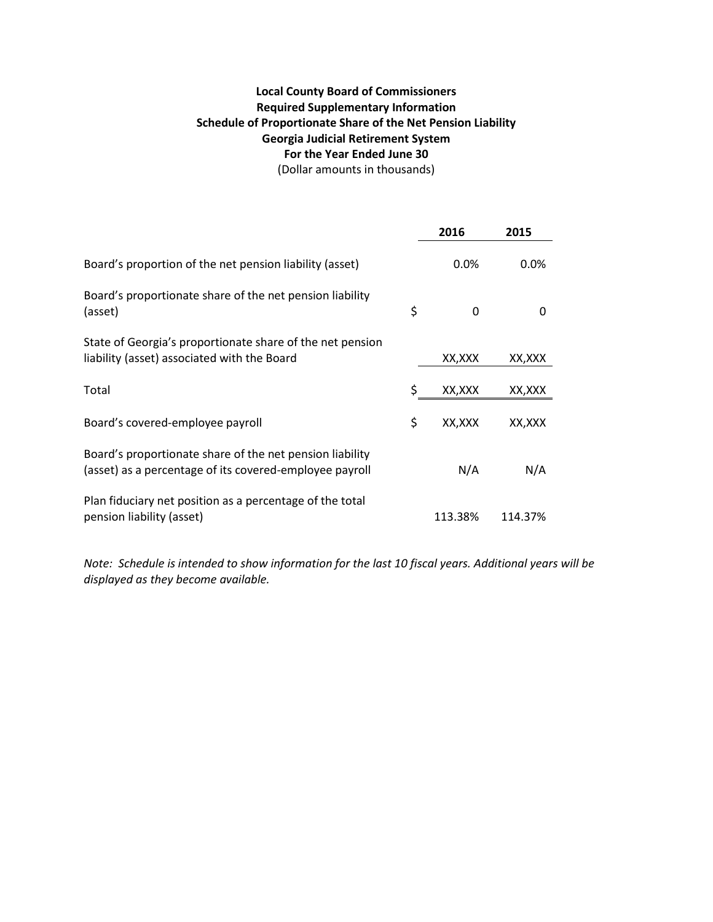# **Local County Board of Commissioners Required Supplementary Information Schedule of Proportionate Share of the Net Pension Liability Georgia Judicial Retirement System For the Year Ended June 30** (Dollar amounts in thousands)

**2016 2015** Board's proportion of the net pension liability (asset) 0.0% 0.0% 0.0% Board's proportionate share of the net pension liability (asset) and the contraction of  $\zeta$  of  $0$  or  $0$ State of Georgia's proportionate share of the net pension liability (asset) associated with the Board XX,XXX XX, XXX XX,XXX Total \$ XX,XXX XX,XXX Board's covered-employee payroll by the same state of the state of the SX,XXX XX, XXX Board's proportionate share of the net pension liability (asset) as a percentage of its covered-employee payroll N/A N/A Plan fiduciary net position as a percentage of the total pension liability (asset) 113.38% 114.37%

*Note: Schedule is intended to show information for the last 10 fiscal years. Additional years will be displayed as they become available.*